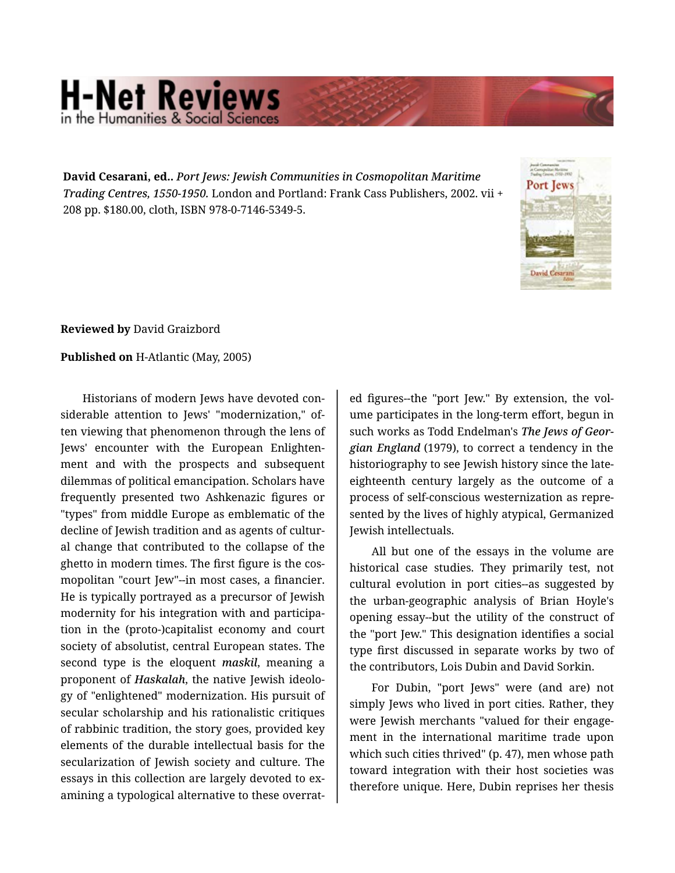## **H-Net Reviews** in the Humanities & Social Scie

**David Cesarani, ed..** *Port Jews: Jewish Communities in Cosmopolitan Maritime Trading Centres, 1550-1950.* London and Portland: Frank Cass Publishers, 2002. vii + 208 pp. \$180.00, cloth, ISBN 978-0-7146-5349-5.



## **Reviewed by** David Graizbord

## **Published on** H-Atlantic (May, 2005)

Historians of modern Jews have devoted con‐ siderable attention to Jews' "modernization," of‐ ten viewing that phenomenon through the lens of Jews' encounter with the European Enlighten‐ ment and with the prospects and subsequent dilemmas of political emancipation. Scholars have frequently presented two Ashkenazic figures or "types" from middle Europe as emblematic of the decline of Jewish tradition and as agents of cultur‐ al change that contributed to the collapse of the ghetto in modern times. The first figure is the cos‐ mopolitan "court Jew"--in most cases, a financier. He is typically portrayed as a precursor of Jewish modernity for his integration with and participa‐ tion in the (proto-)capitalist economy and court society of absolutist, central European states. The second type is the eloquent *maskil*, meaning a proponent of *Haskalah*, the native Jewish ideolo‐ gy of "enlightened" modernization. His pursuit of secular scholarship and his rationalistic critiques of rabbinic tradition, the story goes, provided key elements of the durable intellectual basis for the secularization of Jewish society and culture. The essays in this collection are largely devoted to ex‐ amining a typological alternative to these overrat‐

ed figures--the "port Jew." By extension, the vol‐ ume participates in the long-term effort, begun in such works as Todd Endelman's *The Jews of Geor‐ gian England* (1979), to correct a tendency in the historiography to see Jewish history since the lateeighteenth century largely as the outcome of a process of self-conscious westernization as repre‐ sented by the lives of highly atypical, Germanized Jewish intellectuals.

All but one of the essays in the volume are historical case studies. They primarily test, not cultural evolution in port cities--as suggested by the urban-geographic analysis of Brian Hoyle's opening essay--but the utility of the construct of the "port Jew." This designation identifies a social type first discussed in separate works by two of the contributors, Lois Dubin and David Sorkin.

For Dubin, "port Jews" were (and are) not simply Jews who lived in port cities. Rather, they were Jewish merchants "valued for their engage‐ ment in the international maritime trade upon which such cities thrived" (p. 47), men whose path toward integration with their host societies was therefore unique. Here, Dubin reprises her thesis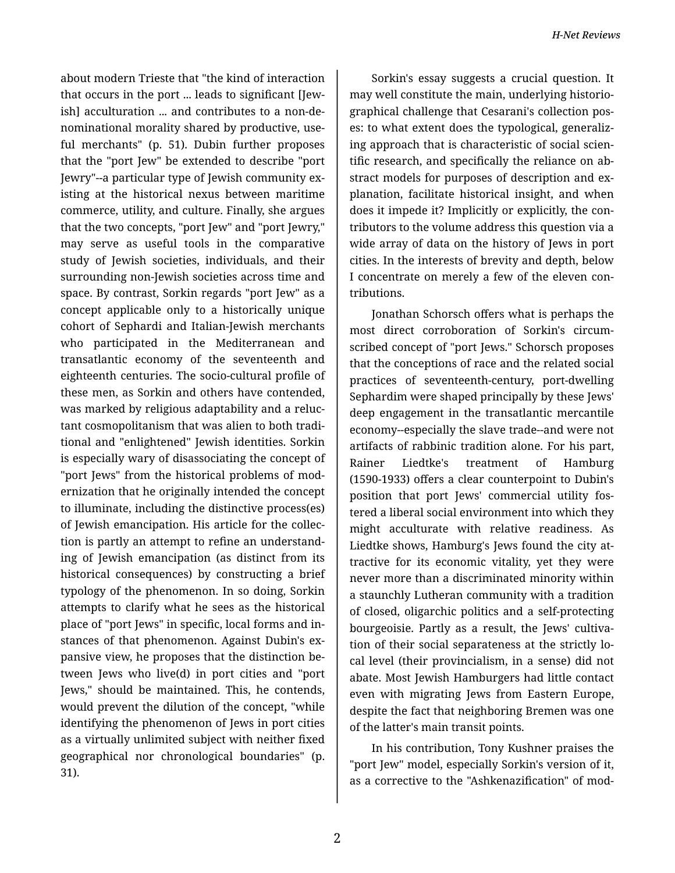about modern Trieste that "the kind of interaction that occurs in the port ... leads to significant [Jew‐ ish] acculturation ... and contributes to a non-de‐ nominational morality shared by productive, use‐ ful merchants" (p. 51). Dubin further proposes that the "port Jew" be extended to describe "port Jewry"--a particular type of Jewish community ex‐ isting at the historical nexus between maritime commerce, utility, and culture. Finally, she argues that the two concepts, "port Jew" and "port Jewry," may serve as useful tools in the comparative study of Jewish societies, individuals, and their surrounding non-Jewish societies across time and space. By contrast, Sorkin regards "port Jew" as a concept applicable only to a historically unique cohort of Sephardi and Italian-Jewish merchants who participated in the Mediterranean and transatlantic economy of the seventeenth and eighteenth centuries. The socio-cultural profile of these men, as Sorkin and others have contended, was marked by religious adaptability and a reluc‐ tant cosmopolitanism that was alien to both tradi‐ tional and "enlightened" Jewish identities. Sorkin is especially wary of disassociating the concept of "port Jews" from the historical problems of mod‐ ernization that he originally intended the concept to illuminate, including the distinctive process(es) of Jewish emancipation. His article for the collec‐ tion is partly an attempt to refine an understand‐ ing of Jewish emancipation (as distinct from its historical consequences) by constructing a brief typology of the phenomenon. In so doing, Sorkin attempts to clarify what he sees as the historical place of "port Jews" in specific, local forms and in‐ stances of that phenomenon. Against Dubin's ex‐ pansive view, he proposes that the distinction be‐ tween Jews who live(d) in port cities and "port Jews," should be maintained. This, he contends, would prevent the dilution of the concept, "while identifying the phenomenon of Jews in port cities as a virtually unlimited subject with neither fixed geographical nor chronological boundaries" (p. 31).

Sorkin's essay suggests a crucial question. It may well constitute the main, underlying historio‐ graphical challenge that Cesarani's collection pos‐ es: to what extent does the typological, generaliz‐ ing approach that is characteristic of social scien‐ tific research, and specifically the reliance on ab‐ stract models for purposes of description and ex‐ planation, facilitate historical insight, and when does it impede it? Implicitly or explicitly, the con‐ tributors to the volume address this question via a wide array of data on the history of Jews in port cities. In the interests of brevity and depth, below I concentrate on merely a few of the eleven con‐ tributions.

Jonathan Schorsch offers what is perhaps the most direct corroboration of Sorkin's circum‐ scribed concept of "port Jews." Schorsch proposes that the conceptions of race and the related social practices of seventeenth-century, port-dwelling Sephardim were shaped principally by these Jews' deep engagement in the transatlantic mercantile economy--especially the slave trade--and were not artifacts of rabbinic tradition alone. For his part, Rainer Liedtke's treatment of Hamburg (1590-1933) offers a clear counterpoint to Dubin's position that port Jews' commercial utility fos‐ tered a liberal social environment into which they might acculturate with relative readiness. As Liedtke shows, Hamburg's Jews found the city at‐ tractive for its economic vitality, yet they were never more than a discriminated minority within a staunchly Lutheran community with a tradition of closed, oligarchic politics and a self-protecting bourgeoisie. Partly as a result, the Jews' cultiva‐ tion of their social separateness at the strictly lo‐ cal level (their provincialism, in a sense) did not abate. Most Jewish Hamburgers had little contact even with migrating Jews from Eastern Europe, despite the fact that neighboring Bremen was one of the latter's main transit points.

In his contribution, Tony Kushner praises the "port Jew" model, especially Sorkin's version of it, as a corrective to the "Ashkenazification" of mod‐

2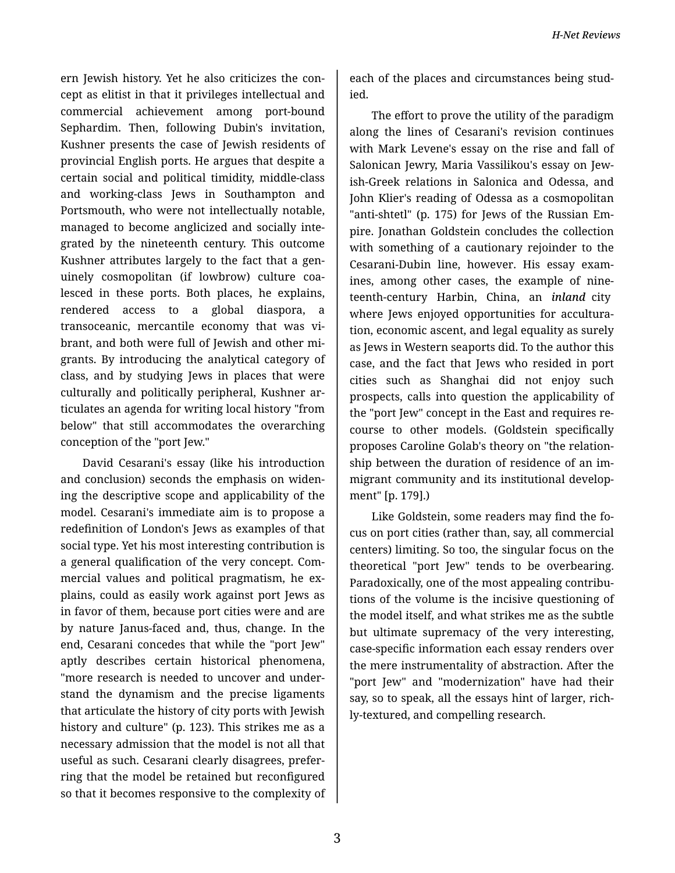ern Jewish history. Yet he also criticizes the con‐ cept as elitist in that it privileges intellectual and commercial achievement among port-bound Sephardim. Then, following Dubin's invitation, Kushner presents the case of Jewish residents of provincial English ports. He argues that despite a certain social and political timidity, middle-class and working-class Jews in Southampton and Portsmouth, who were not intellectually notable, managed to become anglicized and socially inte‐ grated by the nineteenth century. This outcome Kushner attributes largely to the fact that a gen‐ uinely cosmopolitan (if lowbrow) culture coa‐ lesced in these ports. Both places, he explains, rendered access to a global diaspora, a transoceanic, mercantile economy that was vi‐ brant, and both were full of Jewish and other mi‐ grants. By introducing the analytical category of class, and by studying Jews in places that were culturally and politically peripheral, Kushner ar‐ ticulates an agenda for writing local history "from below" that still accommodates the overarching conception of the "port Jew."

David Cesarani's essay (like his introduction and conclusion) seconds the emphasis on widen‐ ing the descriptive scope and applicability of the model. Cesarani's immediate aim is to propose a redefinition of London's Jews as examples of that social type. Yet his most interesting contribution is a general qualification of the very concept. Com‐ mercial values and political pragmatism, he ex‐ plains, could as easily work against port Jews as in favor of them, because port cities were and are by nature Janus-faced and, thus, change. In the end, Cesarani concedes that while the "port Jew" aptly describes certain historical phenomena, "more research is needed to uncover and under‐ stand the dynamism and the precise ligaments that articulate the history of city ports with Jewish history and culture" (p. 123). This strikes me as a necessary admission that the model is not all that useful as such. Cesarani clearly disagrees, prefer‐ ring that the model be retained but reconfigured so that it becomes responsive to the complexity of

each of the places and circumstances being stud‐ ied.

The effort to prove the utility of the paradigm along the lines of Cesarani's revision continues with Mark Levene's essay on the rise and fall of Salonican Jewry, Maria Vassilikou's essay on Jew‐ ish-Greek relations in Salonica and Odessa, and John Klier's reading of Odessa as a cosmopolitan "anti-shtetl" (p. 175) for Jews of the Russian Em‐ pire. Jonathan Goldstein concludes the collection with something of a cautionary rejoinder to the Cesarani-Dubin line, however. His essay exam‐ ines, among other cases, the example of nine‐ teenth-century Harbin, China, an *inland* city where Jews enjoyed opportunities for acculturation, economic ascent, and legal equality as surely as Jews in Western seaports did. To the author this case, and the fact that Jews who resided in port cities such as Shanghai did not enjoy such prospects, calls into question the applicability of the "port Jew" concept in the East and requires re‐ course to other models. (Goldstein specifically proposes Caroline Golab's theory on "the relation‐ ship between the duration of residence of an im‐ migrant community and its institutional develop‐ ment" [p. 179].)

Like Goldstein, some readers may find the fo‐ cus on port cities (rather than, say, all commercial centers) limiting. So too, the singular focus on the theoretical "port Jew" tends to be overbearing. Paradoxically, one of the most appealing contribu‐ tions of the volume is the incisive questioning of the model itself, and what strikes me as the subtle but ultimate supremacy of the very interesting, case-specific information each essay renders over the mere instrumentality of abstraction. After the "port Jew" and "modernization" have had their say, so to speak, all the essays hint of larger, rich‐ ly-textured, and compelling research.